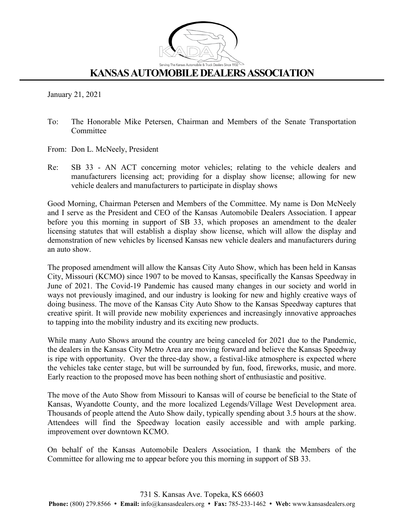

## **KANSAS AUTOMOBILE DEALERS ASSOCIATION**

January 21, 2021

- To: The Honorable Mike Petersen, Chairman and Members of the Senate Transportation Committee
- From: Don L. McNeely, President
- Re: SB 33 AN ACT concerning motor vehicles; relating to the vehicle dealers and manufacturers licensing act; providing for a display show license; allowing for new vehicle dealers and manufacturers to participate in display shows

Good Morning, Chairman Petersen and Members of the Committee. My name is Don McNeely and I serve as the President and CEO of the Kansas Automobile Dealers Association. I appear before you this morning in support of SB 33, which proposes an amendment to the dealer licensing statutes that will establish a display show license, which will allow the display and demonstration of new vehicles by licensed Kansas new vehicle dealers and manufacturers during an auto show.

The proposed amendment will allow the Kansas City Auto Show, which has been held in Kansas City, Missouri (KCMO) since 1907 to be moved to Kansas, specifically the Kansas Speedway in June of 2021. The Covid-19 Pandemic has caused many changes in our society and world in ways not previously imagined, and our industry is looking for new and highly creative ways of doing business. The move of the Kansas City Auto Show to the Kansas Speedway captures that creative spirit. It will provide new mobility experiences and increasingly innovative approaches to tapping into the mobility industry and its exciting new products.

While many Auto Shows around the country are being canceled for 2021 due to the Pandemic, the dealers in the Kansas City Metro Area are moving forward and believe the Kansas Speedway is ripe with opportunity. Over the three-day show, a festival-like atmosphere is expected where the vehicles take center stage, but will be surrounded by fun, food, fireworks, music, and more. Early reaction to the proposed move has been nothing short of enthusiastic and positive.

The move of the Auto Show from Missouri to Kansas will of course be beneficial to the State of Kansas, Wyandotte County, and the more localized Legends/Village West Development area. Thousands of people attend the Auto Show daily, typically spending about 3.5 hours at the show. Attendees will find the Speedway location easily accessible and with ample parking. improvement over downtown KCMO.

On behalf of the Kansas Automobile Dealers Association, I thank the Members of the Committee for allowing me to appear before you this morning in support of SB 33.